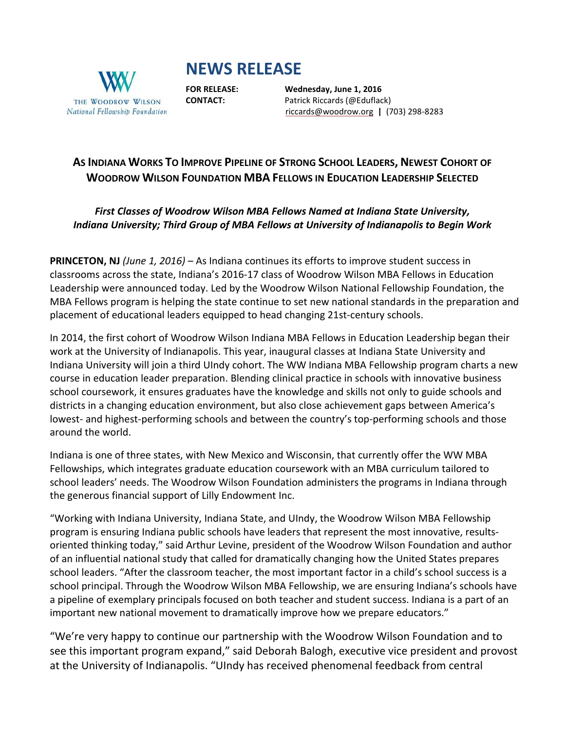# **NEWS RELEASE**



**FOR RELEASE: Wednesday, June 1, 2016 CONTACT:** Patrick Riccards (@Eduflack) [riccards@woodrow.org](mailto:riccards@woodrow.org) **|** (703) 298-8283

# AS INDIANA WORKS TO IMPROVE PIPELINE OF STRONG SCHOOL LEADERS, NEWEST COHORT OF **WOODROW WILSON FOUNDATION MBA FELLOWS IN EDUCATION LEADERSHIP SELECTED**

# *First Classes of Woodrow Wilson MBA Fellows Named at Indiana State University, Indiana University; Third Group of MBA Fellows at University of Indianapolis to Begin Work*

**PRINCETON, NJ** *(June 1, 2016)* – As Indiana continues its efforts to improve student success in classrooms across the state, Indiana's 2016-17 class of Woodrow Wilson MBA Fellows in Education Leadership were announced today. Led by the Woodrow Wilson National Fellowship Foundation, the MBA Fellows program is helping the state continue to set new national standards in the preparation and placement of educational leaders equipped to head changing 21st-century schools.

In 2014, the first cohort of Woodrow Wilson Indiana MBA Fellows in Education Leadership began their work at the University of Indianapolis. This year, inaugural classes at Indiana State University and Indiana University will join a third UIndy cohort. The WW Indiana MBA Fellowship program charts a new course in education leader preparation. Blending clinical practice in schools with innovative business school coursework, it ensures graduates have the knowledge and skills not only to guide schools and districts in a changing education environment, but also close achievement gaps between America's lowest- and highest-performing schools and between the country's top-performing schools and those around the world.

Indiana is one of three states, with New Mexico and Wisconsin, that currently offer the WW MBA Fellowships, which integrates graduate education coursework with an MBA curriculum tailored to school leaders' needs. The Woodrow Wilson Foundation administers the programs in Indiana through the generous financial support of Lilly Endowment Inc.

"Working with Indiana University, Indiana State, and UIndy, the Woodrow Wilson MBA Fellowship program is ensuring Indiana public schools have leaders that represent the most innovative, resultsoriented thinking today," said Arthur Levine, president of the Woodrow Wilson Foundation and author of an influential national study that called for dramatically changing how the United States prepares school leaders. "After the classroom teacher, the most important factor in a child's school success is a school principal. Through the Woodrow Wilson MBA Fellowship, we are ensuring Indiana's schools have a pipeline of exemplary principals focused on both teacher and student success. Indiana is a part of an important new national movement to dramatically improve how we prepare educators."

"We're very happy to continue our partnership with the Woodrow Wilson Foundation and to see this important program expand," said Deborah Balogh, executive vice president and provost at the University of Indianapolis. "UIndy has received phenomenal feedback from central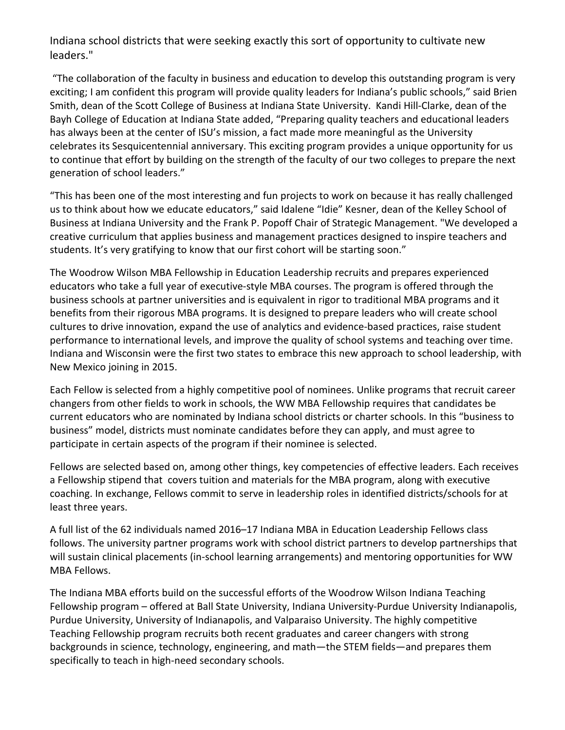Indiana school districts that were seeking exactly this sort of opportunity to cultivate new leaders."

"The collaboration of the faculty in business and education to develop this outstanding program is very exciting; I am confident this program will provide quality leaders for Indiana's public schools," said Brien Smith, dean of the Scott College of Business at Indiana State University. Kandi Hill-Clarke, dean of the Bayh College of Education at Indiana State added, "Preparing quality teachers and educational leaders has always been at the center of ISU's mission, a fact made more meaningful as the University celebrates its Sesquicentennial anniversary. This exciting program provides a unique opportunity for us to continue that effort by building on the strength of the faculty of our two colleges to prepare the next generation of school leaders."

"This has been one of the most interesting and fun projects to work on because it has really challenged us to think about how we educate educators," said Idalene "Idie" Kesner, dean of the Kelley School of Business at Indiana University and the Frank P. Popoff Chair of Strategic Management. "We developed a creative curriculum that applies business and management practices designed to inspire teachers and students. It's very gratifying to know that our first cohort will be starting soon."

The Woodrow Wilson MBA Fellowship in Education Leadership recruits and prepares experienced educators who take a full year of executive-style MBA courses. The program is offered through the business schools at partner universities and is equivalent in rigor to traditional MBA programs and it benefits from their rigorous MBA programs. It is designed to prepare leaders who will create school cultures to drive innovation, expand the use of analytics and evidence-based practices, raise student performance to international levels, and improve the quality of school systems and teaching over time. Indiana and Wisconsin were the first two states to embrace this new approach to school leadership, with New Mexico joining in 2015.

Each Fellow is selected from a highly competitive pool of nominees. Unlike programs that recruit career changers from other fields to work in schools, the WW MBA Fellowship requires that candidates be current educators who are nominated by Indiana school districts or charter schools. In this "business to business" model, districts must nominate candidates before they can apply, and must agree to participate in certain aspects of the program if their nominee is selected.

Fellows are selected based on, among other things, key competencies of effective leaders. Each receives a Fellowship stipend that covers tuition and materials for the MBA program, along with executive coaching. In exchange, Fellows commit to serve in leadership roles in identified districts/schools for at least three years.

A full list of the 62 individuals named 2016–17 Indiana MBA in Education Leadership Fellows class follows. The university partner programs work with school district partners to develop partnerships that will sustain clinical placements (in-school learning arrangements) and mentoring opportunities for WW MBA Fellows.

The Indiana MBA efforts build on the successful efforts of the Woodrow Wilson Indiana Teaching Fellowship program – offered at Ball State University, Indiana University-Purdue University Indianapolis, Purdue University, University of Indianapolis, and Valparaiso University. The highly competitive Teaching Fellowship program recruits both recent graduates and career changers with strong backgrounds in science, technology, engineering, and math—the STEM fields—and prepares them specifically to teach in high-need secondary schools.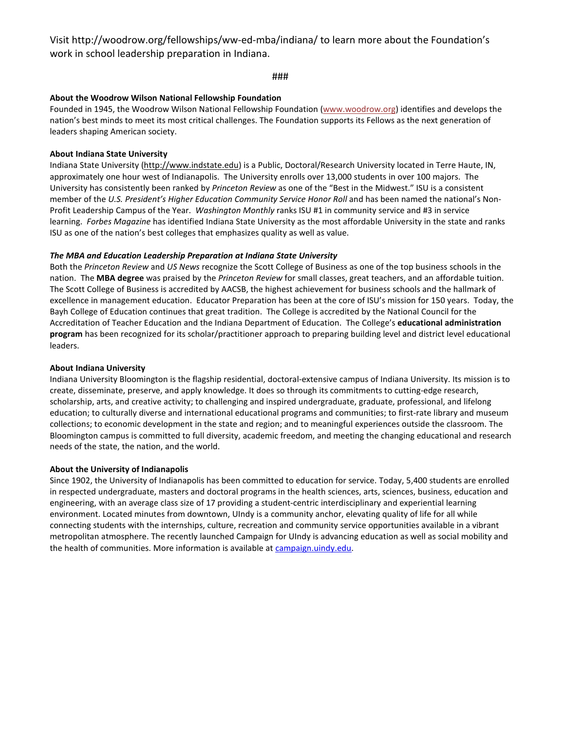Visit http://woodrow.org/fellowships/ww-ed-mba/indiana/ to learn more about the Foundation's work in school leadership preparation in Indiana.

#### ###

#### **About the Woodrow Wilson National Fellowship Foundation**

Founded in 1945, the Woodrow Wilson National Fellowship Foundation [\(www.woodrow.org\)](http://www.woodrow.org/) identifies and develops the nation's best minds to meet its most critical challenges. The Foundation supports its Fellows as the next generation of leaders shaping American society.

#### **About Indiana State University**

Indiana State University [\(http://www.indstate.edu\)](http://www.indstate.edu/) is a Public, Doctoral/Research University located in Terre Haute, IN, approximately one hour west of Indianapolis. The University enrolls over 13,000 students in over 100 majors. The University has consistently been ranked by *Princeton Review* as one of the "Best in the Midwest." ISU is a consistent member of the *U.S. President's Higher Education Community Service Honor Roll* and has been named the national's Non-Profit Leadership Campus of the Year. *Washington Monthly* ranks ISU #1 in community service and #3 in service learning. *Forbes Magazine* has identified Indiana State University as the most affordable University in the state and ranks ISU as one of the nation's best colleges that emphasizes quality as well as value.

#### *The MBA and Education Leadership Preparation at Indiana State University*

Both the *Princeton Review* and *US News* recognize the Scott College of Business as one of the top business schools in the nation. The **MBA degree** was praised by the *Princeton Review* for small classes, great teachers, and an affordable tuition. The Scott College of Business is accredited by AACSB, the highest achievement for business schools and the hallmark of excellence in management education. Educator Preparation has been at the core of ISU's mission for 150 years. Today, the Bayh College of Education continues that great tradition. The College is accredited by the National Council for the Accreditation of Teacher Education and the Indiana Department of Education. The College's **educational administration program** has been recognized for its scholar/practitioner approach to preparing building level and district level educational leaders.

#### **About Indiana University**

Indiana University Bloomington is the flagship residential, doctoral-extensive campus of Indiana University. Its mission is to create, disseminate, preserve, and apply knowledge. It does so through its commitments to cutting-edge research, scholarship, arts, and creative activity; to challenging and inspired undergraduate, graduate, professional, and lifelong education; to culturally diverse and international educational programs and communities; to first-rate library and museum collections; to economic development in the state and region; and to meaningful experiences outside the classroom. The Bloomington campus is committed to full diversity, academic freedom, and meeting the changing educational and research needs of the state, the nation, and the world.

#### **About the University of Indianapolis**

Since 1902, the University of Indianapolis has been committed to education for service. Today, 5,400 students are enrolled in respected undergraduate, masters and doctoral programs in the health sciences, arts, sciences, business, education and engineering, with an average class size of 17 providing a student-centric interdisciplinary and experiential learning environment. Located minutes from downtown, UIndy is a community anchor, elevating quality of life for all while connecting students with the internships, culture, recreation and community service opportunities available in a vibrant metropolitan atmosphere. The recently launched Campaign for UIndy is advancing education as well as social mobility and the health of communities. More information is available at [campaign.uindy.edu.](http://campaign.uindy.edu/)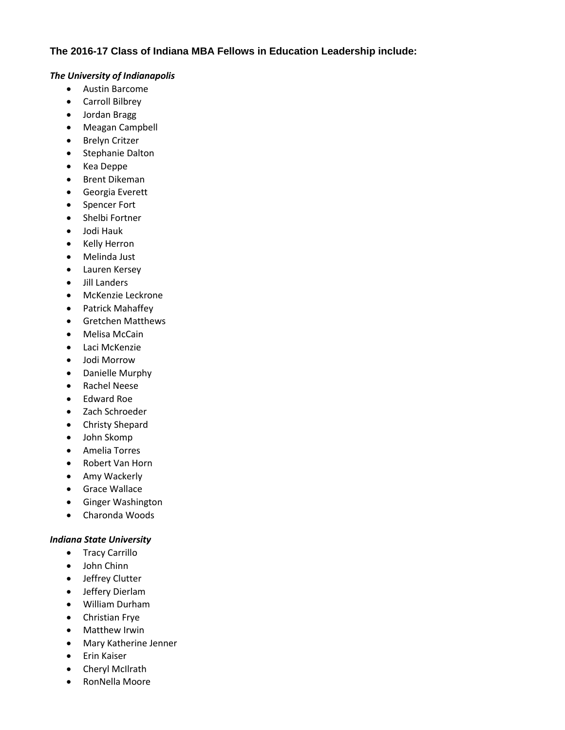### **The 2016-17 Class of Indiana MBA Fellows in Education Leadership include:**

#### *The University of Indianapolis*

- Austin Barcome
- Carroll Bilbrey
- Jordan Bragg
- Meagan Campbell
- Brelyn Critzer
- Stephanie Dalton
- Kea Deppe
- Brent Dikeman
- Georgia Everett
- Spencer Fort
- Shelbi Fortner
- Jodi Hauk
- Kelly Herron
- Melinda Just
- Lauren Kersey
- Jill Landers
- McKenzie Leckrone
- Patrick Mahaffey
- Gretchen Matthews
- Melisa McCain
- Laci McKenzie
- Jodi Morrow
- Danielle Murphy
- Rachel Neese
- Edward Roe
- Zach Schroeder
- Christy Shepard
- John Skomp
- Amelia Torres
- Robert Van Horn
- Amy Wackerly
- **Grace Wallace**
- Ginger Washington
- Charonda Woods

#### *Indiana State University*

- Tracy Carrillo
- John Chinn
- Jeffrey Clutter
- Jeffery Dierlam
- William Durham
- Christian Frye
- Matthew Irwin
- Mary Katherine Jenner
- **•** Erin Kaiser
- Cheryl McIlrath
- RonNella Moore